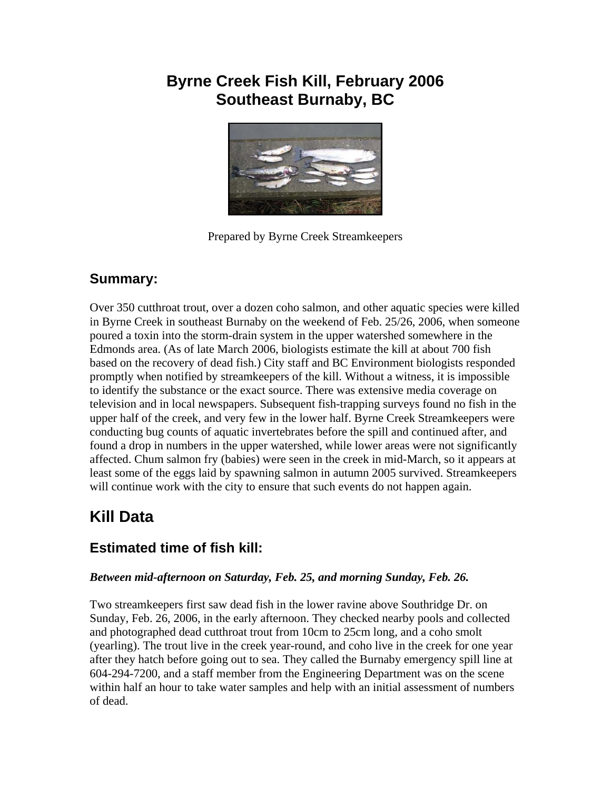# **Byrne Creek Fish Kill, February 2006 Southeast Burnaby, BC**



Prepared by Byrne Creek Streamkeepers

## **Summary:**

Over 350 cutthroat trout, over a dozen coho salmon, and other aquatic species were killed in Byrne Creek in southeast Burnaby on the weekend of Feb. 25/26, 2006, when someone poured a toxin into the storm-drain system in the upper watershed somewhere in the Edmonds area. (As of late March 2006, biologists estimate the kill at about 700 fish based on the recovery of dead fish.) City staff and BC Environment biologists responded promptly when notified by streamkeepers of the kill. Without a witness, it is impossible to identify the substance or the exact source. There was extensive media coverage on television and in local newspapers. Subsequent fish-trapping surveys found no fish in the upper half of the creek, and very few in the lower half. Byrne Creek Streamkeepers were conducting bug counts of aquatic invertebrates before the spill and continued after, and found a drop in numbers in the upper watershed, while lower areas were not significantly affected. Chum salmon fry (babies) were seen in the creek in mid-March, so it appears at least some of the eggs laid by spawning salmon in autumn 2005 survived. Streamkeepers will continue work with the city to ensure that such events do not happen again.

# **Kill Data**

# **Estimated time of fish kill:**

#### *Between mid-afternoon on Saturday, Feb. 25, and morning Sunday, Feb. 26.*

Two streamkeepers first saw dead fish in the lower ravine above Southridge Dr. on Sunday, Feb. 26, 2006, in the early afternoon. They checked nearby pools and collected and photographed dead cutthroat trout from 10cm to 25cm long, and a coho smolt (yearling). The trout live in the creek year-round, and coho live in the creek for one year after they hatch before going out to sea. They called the Burnaby emergency spill line at 604-294-7200, and a staff member from the Engineering Department was on the scene within half an hour to take water samples and help with an initial assessment of numbers of dead.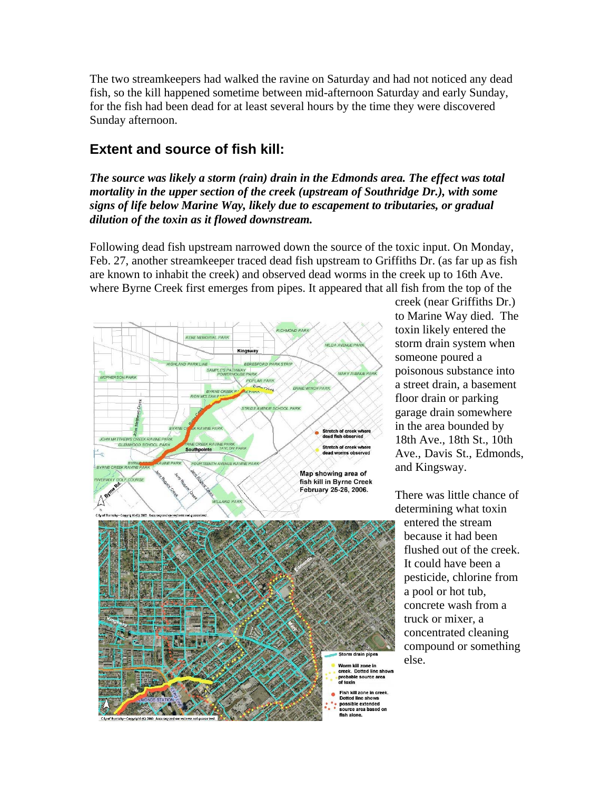The two streamkeepers had walked the ravine on Saturday and had not noticed any dead fish, so the kill happened sometime between mid-afternoon Saturday and early Sunday, for the fish had been dead for at least several hours by the time they were discovered Sunday afternoon.

### **Extent and source of fish kill:**

*The source was likely a storm (rain) drain in the Edmonds area. The effect was total mortality in the upper section of the creek (upstream of Southridge Dr.), with some signs of life below Marine Way, likely due to escapement to tributaries, or gradual dilution of the toxin as it flowed downstream.* 

Following dead fish upstream narrowed down the source of the toxic input. On Monday, Feb. 27, another streamkeeper traced dead fish upstream to Griffiths Dr. (as far up as fish are known to inhabit the creek) and observed dead worms in the creek up to 16th Ave. where Byrne Creek first emerges from pipes. It appeared that all fish from the top of the





creek (near Griffiths Dr.) to Marine Way died. The toxin likely entered the storm drain system when someone poured a poisonous substance into a street drain, a basement floor drain or parking garage drain somewhere in the area bounded by 18th Ave., 18th St., 10th Ave., Davis St., Edmonds, and Kingsway.

There was little chance of determining what toxin

entered the stream because it had been flushed out of the creek. It could have been a pesticide, chlorine from a pool or hot tub, concrete wash from a truck or mixer, a concentrated cleaning compound or s omething else.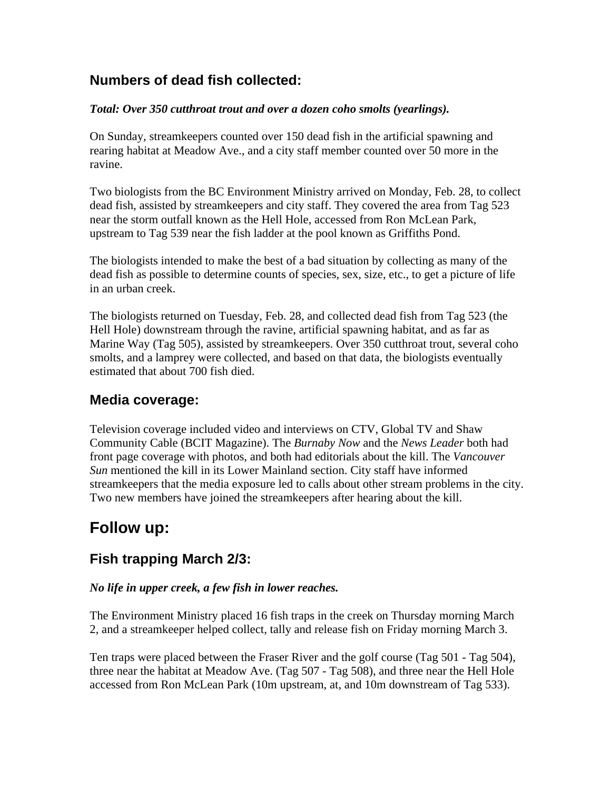### **Numbers of dead fish collected:**

#### *Total: Over 350 cutthroat trout and over a dozen coho smolts (yearlings).*

On Sunday, streamkeepers counted over 150 dead fish in the artificial spawning and rearing habitat at Meadow Ave., and a city staff member counted over 50 more in the ravine.

Two biologists from the BC Environment Ministry arrived on Monday, Feb. 28, to collect dead fish, assisted by streamkeepers and city staff. They covered the area from Tag 523 near the storm outfall known as the Hell Hole, accessed from Ron McLean Park, upstream to Tag 539 near the fish ladder at the pool known as Griffiths Pond.

The biologists intended to make the best of a bad situation by collecting as many of the dead fish as possible to determine counts of species, sex, size, etc., to get a picture of life in an urban creek.

The biologists returned on Tuesday, Feb. 28, and collected dead fish from Tag 523 (the Hell Hole) downstream through the ravine, artificial spawning habitat, and as far as Marine Way (Tag 505), assisted by streamkeepers. Over 350 cutthroat trout, several coho smolts, and a lamprey were collected, and based on that data, the biologists eventually estimated that about 700 fish died.

### **Media coverage:**

Television coverage included video and interviews on CTV, Global TV and Shaw Community Cable (BCIT Magazine). The *Burnaby Now* and the *News Leader* both had front page coverage with photos, and both had editorials about the kill. The *Vancouver Sun* mentioned the kill in its Lower Mainland section. City staff have informed streamkeepers that the media exposure led to calls about other stream problems in the city. Two new members have joined the streamkeepers after hearing about the kill.

# **Follow up:**

## **Fish trapping March 2/3:**

#### *No life in upper creek, a few fish in lower reaches.*

The Environment Ministry placed 16 fish traps in the creek on Thursday morning March 2, and a streamkeeper helped collect, tally and release fish on Friday morning March 3.

Ten traps were placed between the Fraser River and the golf course (Tag 501 - Tag 504), three near the habitat at Meadow Ave. (Tag 507 - Tag 508), and three near the Hell Hole accessed from Ron McLean Park (10m upstream, at, and 10m downstream of Tag 533).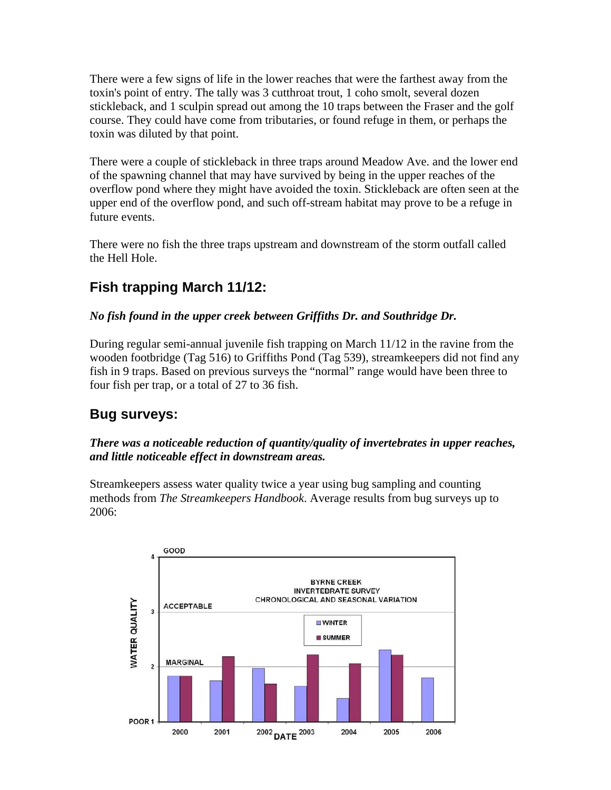There were a few signs of life in the lower reaches that were the farthest away from the toxin's point of entry. The tally was 3 cutthroat trout, 1 coho smolt, several dozen stickleback, and 1 sculpin spread out among the 10 traps between the Fraser and the golf course. They could have come from tributaries, or found refuge in them, or perhaps the toxin was diluted by that point.

There were a couple of stickleback in three traps around Meadow Ave. and the lower end of the spawning channel that may have survived by being in the upper reaches of the overflow pond where they might have avoided the toxin. Stickleback are often seen at the upper end of the overflow pond, and such off-stream habitat may prove to be a refuge in future events.

There were no fish the three traps upstream and downstream of the storm outfall called the Hell Hole.

# **Fish trapping March 11/12:**

### *No fish found in the upper creek between Griffiths Dr. and Southridge Dr.*

During regular semi-annual juvenile fish trapping on March 11/12 in the ravine from the wooden footbridge (Tag 516) to Griffiths Pond (Tag 539), streamkeepers did not find any fish in 9 traps. Based on previous surveys the "normal" range would have been three to four fish per trap, or a total of 27 to 36 fish.

## **Bug surveys:**

#### *There was a noticeable reduction of quantity/quality of invertebrates in upper reaches, and little noticeable effect in downstream areas.*

Streamkeepers assess water quality twice a year using bug sampling and counting methods from *The Streamkeepers Handbook*. Average results from bug surveys up to 2006:

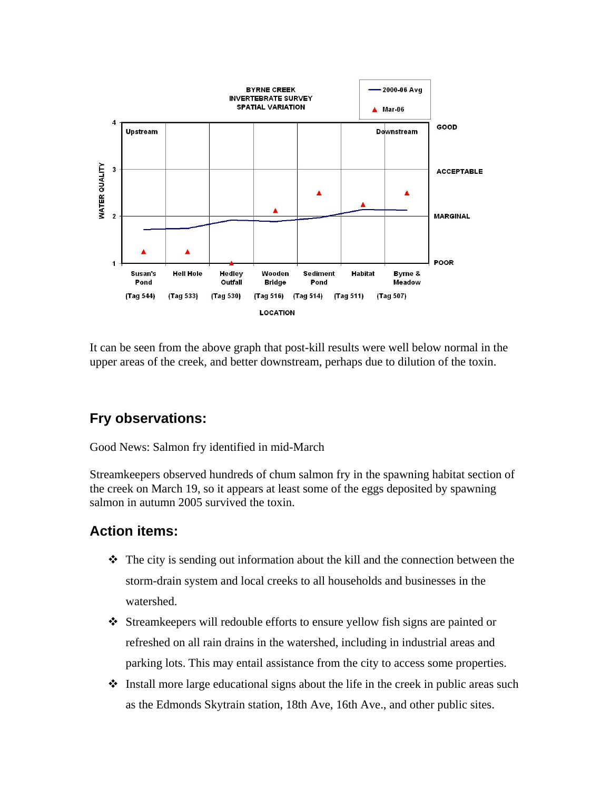

It can be seen from the above graph that post-kill results were well below normal in the upper areas of the creek, and better downstream, perhaps due to dilution of the toxin.

### **Fry observations:**

Good News: Salmon fry identified in mid-March

Streamkeepers observed hundreds of chum salmon fry in the spawning habitat section of the creek on March 19, so it appears at least some of the eggs deposited by spawning salmon in autumn 2005 survived the toxin.

### **Action items:**

- $\hat{\mathbf{v}}$  The city is sending out information about the kill and the connection between the storm-drain system and local creeks to all households and businesses in the watershed.
- Streamkeepers will redouble efforts to ensure yellow fish signs are painted or refreshed on all rain drains in the watershed, including in industrial areas and parking lots. This may entail assistance from the city to access some properties.
- $\div$  Install more large educational signs about the life in the creek in public areas such as the Edmonds Skytrain station, 18th Ave, 16th Ave., and other public sites.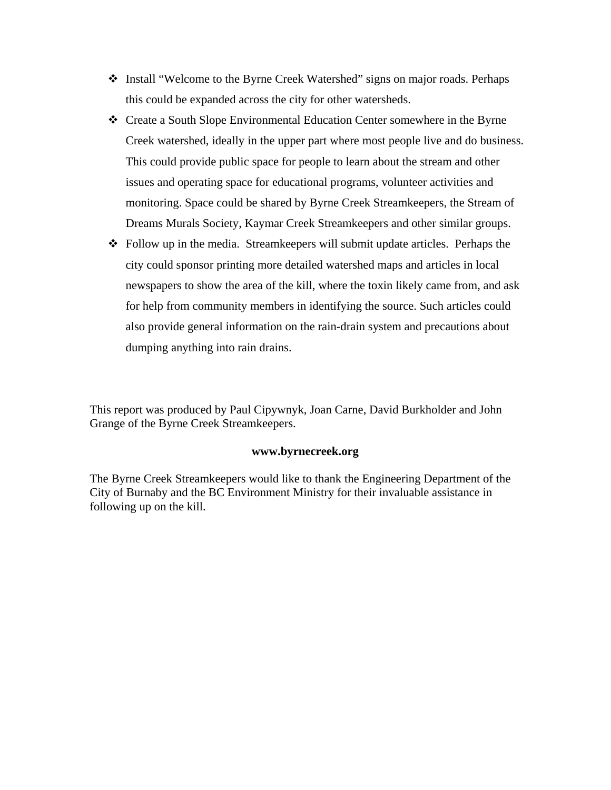- Install "Welcome to the Byrne Creek Watershed" signs on major roads. Perhaps this could be expanded across the city for other watersheds.
- Create a South Slope Environmental Education Center somewhere in the Byrne Creek watershed, ideally in the upper part where most people live and do business. This could provide public space for people to learn about the stream and other issues and operating space for educational programs, volunteer activities and monitoring. Space could be shared by Byrne Creek Streamkeepers, the Stream of Dreams Murals Society, Kaymar Creek Streamkeepers and other similar groups.
- Follow up in the media. Streamkeepers will submit update articles. Perhaps the city could sponsor printing more detailed watershed maps and articles in local newspapers to show the area of the kill, where the toxin likely came from, and ask for help from community members in identifying the source. Such articles could also provide general information on the rain-drain system and precautions about dumping anything into rain drains.

This report was produced by Paul Cipywnyk, Joan Carne, David Burkholder and John Grange of the Byrne Creek Streamkeepers.

#### **www.byrnecreek.org**

The Byrne Creek Streamkeepers would like to thank the Engineering Department of the City of Burnaby and the BC Environment Ministry for their invaluable assistance in following up on the kill.